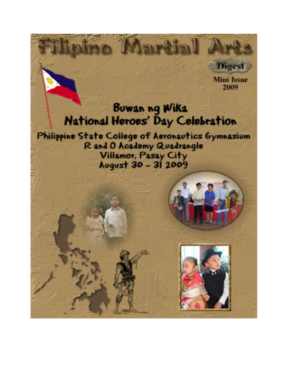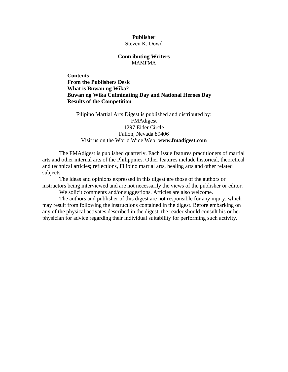#### **Publisher**  Steven K. Dowd

#### **Contributing Writers**  MAMFMA

**Contents [From the Publishers Desk](#page-2-0)  [What is Buwan ng Wika](#page-3-0)**? **[Buwan ng Wika Culminating Day and National Heroes Day](#page-3-0)  [Results of the Competition](#page-8-0)** 

Filipino Martial Arts Digest is published and distributed by: FMAdigest 1297 Eider Circle Fallon, Nevada 89406 Visit us on the World Wide Web: **[www.fmadigest.com](http://www.fmadigest.com/)**

The FMAdigest is published quarterly. Each issue features practitioners of martial arts and other internal arts of the Philippines. Other features include historical, theoretical and technical articles; reflections, Filipino martial arts, healing arts and other related subjects.

The ideas and opinions expressed in this digest are those of the authors or instructors being interviewed and are not necessarily the views of the publisher or editor.

We solicit comments and/or suggestions. Articles are also welcome.

The authors and publisher of this digest are not responsible for any injury, which may result from following the instructions contained in the digest. Before embarking on any of the physical activates described in the digest, the reader should consult his or her physician for advice regarding their individual suitability for performing such activity.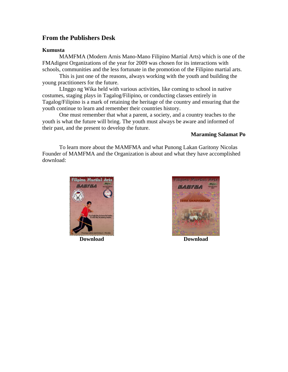# <span id="page-2-0"></span>**From the Publishers Desk**

## **Kumusta**

MAMFMA (Modern Arnis Mano-Mano Filipino Martial Arts) which is one of the FMAdigest Organizations of the year for 2009 was chosen for its interactions with schools, communities and the less fortunate in the promotion of the Filipino martial arts.

This is just one of the reasons, always working with the youth and building the young practitioners for the future.

LInggo ng Wika held with various activities, like coming to school in native costumes, staging plays in Tagalog/Filipino, or conducting classes entirely in Tagalog/Filipino is a mark of retaining the heritage of the country and ensuring that the youth continue to learn and remember their countries history.

One must remember that what a parent, a society, and a country teaches to the youth is what the future will bring. The youth must always be aware and informed of their past, and the present to develop the future.

## **Maraming Salamat Po**

To learn more about the MAMFMA and what Punong Lakan Garitony Nicolas Founder of MAMFMA and the Organization is about and what they have accomplished download:



**[Download](http://www.fmadigest.com/Issues/special-editions/2008/Special-Edition_MAMFMA.pdf) [Download](http://www.fmadigest.com/Issues/special-issues/2009/Special-Issue_MAMFMA_14th-Anniversary.pdf)** 

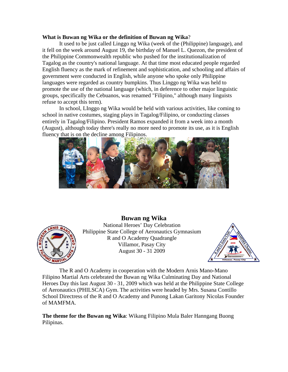#### <span id="page-3-0"></span>**What is Buwan ng Wika or the definition of Buwan ng Wika**?

It used to be just called Linggo ng Wika (week of the (Philippine) language), and it fell on the week around August 19, the birthday of Manuel L. Quezon, the president of the Philippine Commonwealth republic who pushed for the institutionalization of Tagalog as the country's national language. At that time most educated people regarded English fluency as the mark of refinement and sophistication, and schooling and affairs of government were conducted in English, while anyone who spoke only Philippine languages were regarded as country bumpkins. Thus Linggo ng Wika was held to promote the use of the national language (which, in deference to other major linguistic groups, specifically the Cebuanos, was renamed "Filipino," although many linguists refuse to accept this term).

In school, LInggo ng Wika would be held with various activities, like coming to school in native costumes, staging plays in Tagalog/Filipino, or conducting classes entirely in Tagalog/Filipino. President Ramos expanded it from a week into a month (August), although today there's really no more need to promote its use, as it is English fluency that is on the decline among Filipinos.





**Buwan ng Wika**  National Heroes' Day Celebration Philippine State College of Aeronautics Gymnasium R and O Academy Quadrangle Villamor, Pasay City August 30 - 31 2009



The R and O Academy in cooperation with the Modern Arnis Mano-Mano Filipino Martial Arts celebrated the Buwan ng Wika Culminating Day and National Heroes Day this last August 30 - 31, 2009 which was held at the Philippine State College of Aeronautics (PHILSCA) Gym. The activities were headed by Mrs. Susana Contillo School Directress of the R and O Academy and Punong Lakan Garitony Nicolas Founder of MAMFMA.

**The theme for the Buwan ng Wika**: Wikang Filipino Mula Baler Hanngang Buong Pilipinas.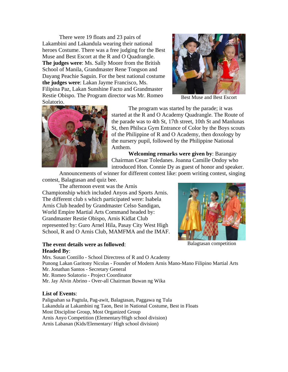There were 19 floats and 23 pairs of Lakambini and Lakandula wearing their national heroes Costume. There was a free judging for the Best Muse and Best Escort at the R and O Quadrangle. **The judges were**: Ms. Sally Moore from the British School of Manila, Grandmaster Rene Tongson and Dayang Peachie Saguin. For the best national costume **the judges were**: Lakan Jayme Francisco, Ms. Filipina Paz, Lakan Sunshine Facto and Grandmaster Restie Obispo. The Program director was Mr. Romeo Solatorio.



Best Muse and Best Escort



The program was started by the parade; it was started at the R and O Academy Quadrangle. The Route of the parade was to 4th St, 17th street, 10th St and Manlunas St, then Philsca Gym Entrance of Color by the Boys scouts of the Philippine of R and O Academy, then doxology by the nursery pupil, followed by the Philippine National Anthem.

**Welcoming remarks were given by**: Barangay Chairman Cesar Toledanes. Joanna Camille Ondoy who introduced Hon. Connie Dy as guest of honor and speaker.

Announcements of winner for different contest like: poem writing contest, singing contest, Balagtasan and quiz bee.

The afternoon event was the Arnis Championship which included Anyos and Sports Arnis. The different club s which participated were: Isabela Arnis Club headed by Grandmaster Celso Sandigan, World Empire Martial Arts Command headed by: Grandmaster Restie Obispo, Arnis Kidlat Club represented by: Guro Arnel Hila, Pasay City West High School, R and O Arnis Club, MAMFMA and the IMAF.

## **The event details were as followed:** Balagtasan competition **Headed By**:



Mrs. Susan Contillo - School Directress of R and O Academy Punong Lakan Garitony Nicolas - Founder of Modern Arnis Mano-Mano Filipino Martial Arts Mr. Jonathan Santos - Secretary General Mr. Romeo Solatorio - Project Coordinator Mr. Jay Alvin Abrino - Over-all Chairman Buwan ng Wika

#### **List of Events**:

Paligsahan sa Pagtula, Pag-awit, Balagtasan, Paggawa ng Tula Lakandula at Lakambini ng Taon, Best in National Costume, Best in Floats Most Discipline Group, Most Organized Group Arnis Anyo Competition (Elementary/High school division) Arnis Labanan (Kids/Elementary/ High school division)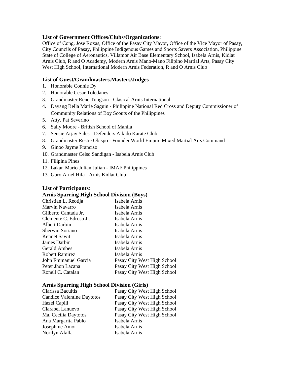### **List of Government Offices/Clubs/Organizations**:

Office of Cong. Jose Roxas, Office of the Pasay City Mayor, Office of the Vice Mayor of Pasay, City Councils of Pasay, Philippine Indigenous Games and Sports Savers Association, Philippine State of College of Aeronautics, Villamor Air Base Elementary School, Isabela Arnis, Kidlat Arnis Club, R and O Academy, Modern Arnis Mano-Mano Filipino Martial Arts, Pasay City West High School, International Modern Arnis Federation, R and O Arnis Club

### **List of Guest/Grandmasters.Masters/Judges**

- 1. Honorable Connie Dy
- 2. Honorable Cesar Toledanes
- 3. Grandmaster Rene Tongson Clasical Arnis International
- 4. Dayang Bella Marie Saguin Philippine National Red Cross and Deputy Commissioner of Community Relations of Boy Scouts of the Philippines
- 5. Atty. Pat Severino
- 6. Sally Moore British School of Manila
- 7. Sensie Arjay Sales Defenders Aikido Karate Club
- 8. Grandmaster Restie Obispo Founder World Empire Mixed Martial Arts Command
- 9. Ginoo Jayme Franciso
- 10. Grandmaster Celso Sandigan Isabela Arnis Club
- 11. Filipina Pines
- 12. Lakan Mario Julian Julian IMAF Philippines
- 13. Guro Arnel Hila Arnis Kidlat Club

#### **List of Participants**:

## **Arnis Sparring High School Division (Boys)**

| Christian L. Reotija   | Isabela Arnis               |
|------------------------|-----------------------------|
| Marvin Navarro         | Isabela Arnis               |
| Gilberto Cantada Jr.   | Isabela Arnis               |
| Clemente C. Edroso Jr. | Isabela Arnis               |
| Albert Darbin          | Isabela Arnis               |
| Sherwin Soriano        | Isabela Arnis               |
| Kennet Sawit           | Isabela Arnis               |
| James Darbin           | Isabela Arnis               |
| <b>Gerald Ambes</b>    | Isabela Arnis               |
| Robert Ramirez         | Isabela Arnis               |
| John Emmanuel Garcia   | Pasay City West High School |
| Peter Jhon Lacana      | Pasay City West High School |
| Ronell C. Catalan      | Pasay City West High School |

#### **Arnis Sparring High School Division (Girls)**

| Pasay City West High School |
|-----------------------------|
| Pasay City West High School |
| Pasay City West High School |
| Pasay City West High School |
| Pasay City West High School |
| Isabela Arnis               |
| Isabela Arnis               |
| Isabela Arnis               |
|                             |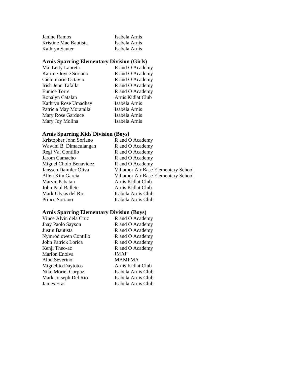| Janine Ramos          | Isabela Arnis |
|-----------------------|---------------|
| Kristine Mae Bautista | Isabela Arnis |
| Kathryn Sauter        | Isabela Arnis |

# **Arnis Sparring Elementary Division (Girls)**

| Ma. Letty Laureta      | R and O Academy   |
|------------------------|-------------------|
| Katrine Joyce Soriano  | R and O Academy   |
| Cielo marie Octavio    | R and O Academy   |
| Irish Jenn Tafalla     | R and O Academy   |
| Eunice Torre           | R and O Academy   |
| Ronalyn Catalan        | Arnis Kidlat Club |
| Kathryn Rose Umadhay   | Isabela Arnis     |
| Patricia May Moratalla | Isabela Arnis     |
| Mary Rose Garduce      | Isabela Arnis     |
| Mary Joy Molina        | Isabela Arnis     |
|                        |                   |

# **Arnis Sparring Kids Division (Boys)**

| Kristopher John Soriano | R and O Academy                     |
|-------------------------|-------------------------------------|
| Wawini B. Dimaculangan  | R and O Academy                     |
| Regi Val Contillo       | R and O Academy                     |
| Jarom Camacho           | R and O Academy                     |
| Miguel Cholo Benavidez  | R and O Academy                     |
| Janssen Daimler Oliva   | Villamor Air Base Elementary School |
| Allen Kim Garcia        | Villamor Air Base Elementary School |
| Marvic Pabatan          | Arnis Kidlat Club                   |
| John Paul Ballete       | Arnis Kidlat Club                   |
| Mark Ulysis del Rio     | Isabela Arnis Club                  |
| Prince Soriano          | Isabela Arnis Club                  |

## **Arnis Sparring Elementary Division (Boys)**

| Vince Alvin dela Cruz     | R and O Academy    |
|---------------------------|--------------------|
| <b>Jhay Paolo Sayson</b>  | R and O Academy    |
| Justin Bautista           | R and O Academy    |
| Nymrod owen Contillo      | R and O Academy    |
| John Patrick Lorica       | R and O Academy    |
| Kenji Theo-ac             | R and O Academy    |
| Marlon Enolva             | <b>IMAF</b>        |
| Alon Severino             | MAMFMA             |
| <b>Miguelito Daytotos</b> | Arnis Kidlat Club  |
| Nike Moriel Corpuz        | Isabela Arnis Club |
| Mark Joiseph Del Rio      | Isabela Arnis Club |
| James Eras                | Isabela Arnis Club |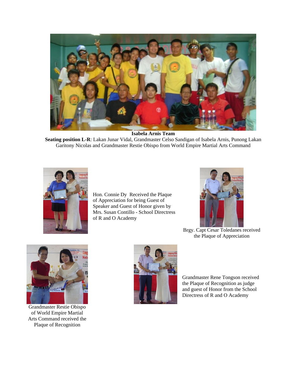

**Isabela Arnis Team** 

**Seating position L-R**: Lakan Junar Vidal, Grandmaster Celso Sandigan of Isabela Arnis, Punong Lakan Garitony Nicolas and Grandmaster Restie Obispo from World Empire Martial Arts Command



Hon. Connie Dy Received the Plaque of Appreciation for being Guest of Speaker and Guest of Honor given by Mrs. Susan Contillo - School Directress of R and O Academy



Brgy. Capt Cesar Toledanes received the Plaque of Appreciation



Grandmaster Restie Obispo of World Empire Martial Arts Command received the Plaque of Recognition



Grandmaster Rene Tongson received the Plaque of Recognition as judge and guest of Honor from the School Directress of R and O Academy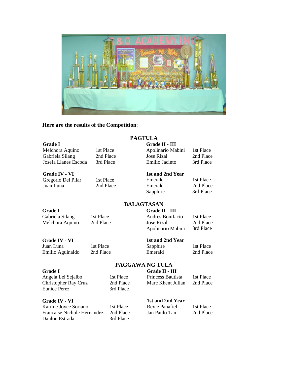<span id="page-8-0"></span>

## **Here are the results of the Competition**:

#### **Grade I**

Melchora Aquino Gabriela Silang Josefa Llanes Escoda 1st Place 2nd Place 3rd Place

**Grade IV - VI**  Gregorio Del Pilar Juan Luna

# **PAGTULA**

### **Grade II - III**

| Apolinario Mabini | 1st Place |
|-------------------|-----------|
| <b>Jose Rizal</b> | 2nd Place |
| Emilio Jacinto    | 3rd Place |

### **1st and 2nd Year**

| Emerald  | 1st Place |
|----------|-----------|
| Emerald  | 2nd Place |
| Sapphire | 3rd Place |

# **BALAGTASAN**

**PAGGAWA NG TULA**

#### **Grade I**

Gabriela Silang Melchora Aquino 1st Place 2nd Place

1st Place 2nd Place

#### **Grade II - III**  Andres Bonifacio

Jose Rizal Apolinario Mabini 1st Place

2nd Place 3rd Place

# **1st and 2nd Year**

Emerald

**Grade IV - VI**  Juan Luna

Emilio Aguinaldo

1st Place 2nd Place

### Sapphire

1st Place 2nd Place

#### **Grade I**

Angela Lei Sejalbo Christopher Ray Cruz Eunice Perez

#### 1st Place 2nd Place 3rd Place

**Grade II - III**  Princess Bautista Marc Khent Julian

1st Place 2nd Place

## **Grade IV - VI**

Katrine Joyce Soriano Francaise Nichole Hernandez Danlou Estrada

1st Place 2nd Place 3rd Place

**1st and 2nd Year**  Rexie Pañafiel Jan Paulo Tan

#### 1st Place 2nd Place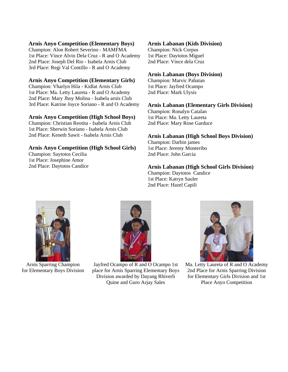#### **Arnis Anyo Competition (Elementary Boys)**

Champion: Alon Robert Severino - MAMFMA 1st Place: Vince Alvin Dela Cruz - R and O Academy 2nd Place: Joseph Del Rio - Isabela Arnis Club 3rd Place: Regi Val Contillo - R and O Academy

## **Arnis Anyo Competition (Elementary Girls)**

Champion: Vharlyn Hila - Kidlat Arnis Club 1st Place: Ma. Letty Laureta - R and O Academy 2nd Place: Mary Jhoy Molina - Isabela arnis Club 3rd Place: Katrine Joyce Soriano - R and O Academy

### **Arnis Anyo Competition (High School Boys)**

Champion: Christian Reotita - Isabela Arnis Club 1st Place: Sherwin Soriano - Isabela Arnis Club 2nd Place: Keneth Sawit - Isabela Arnis Club

## **Arnis Anyo Competition (High School Girls)**

Champion: Saytotos Cecilia 1st Place: Josephine Amor 2nd Place: Daytotos Candice

### **Arnis Labanan (Kids Division)**

Champion: Nick Corpus 1st Place: Daytotos Miguel 2nd Place: Vince dela Cruz

## **Arnis Labanan (Boys Division)**

Champion: Marvic Pabatan 1st Place: Jayfred Ocampo 2nd Place: Mark Ulysis

### **Arnis Labanan (Elementary Girls Division)**

Champion: Ronalyn Catalan 1st Place: Ma. Letty Laureta 2nd Place: Mary Rose Garduce

# **Arnis Labanan (High School Boys Division)**

Champion: Darbin james 1st Place: Jeremy Monteribo 2nd Place: John Garcia

**Arnis Labanan (High School Girls Division)**  Champion: Daytotos Candice 1st Place: Katryn Sauler 2nd Place: Hazel Capili



Arnis Sparring Champion for Elementary Boys Division



Jayfred Ocampo of R and O Ocampo 1st place for Arnis Sparring Elementary Boys Division awarded by Dayang Rhiverli Quine and Guro Arjay Sales



Ma. Letty Laureta of R and O Academy 2nd Place for Arnis Sparring Division for Elementary Girls Division and 1st Place Anyo Competition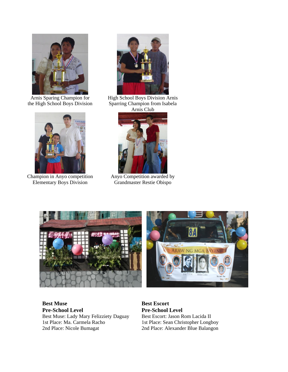

Arnis Sparing Champion for the High School Boys Division



Champion in Anyo competition Elementary Boys Division



High School Boys Division Arnis Sparring Champion from Isabela Arnis Club



Anyo Competition awarded by Grandmaster Restie Obispo





**Best Muse Pre-School Level**  Best Muse: Lady Mary Felizziety Daguay 1st Place: Ma. Carmela Racho 2nd Place: Nicole Bumagat

**Best Escort Pre-School Level**  Best Escort: Jason Rom Lacida II 1st Place: Sean Christopher Longboy 2nd Place: Alexander Blue Balangon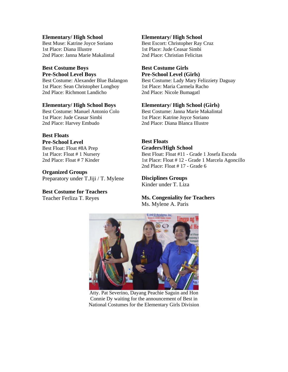**Elementary/ High School** Best Muse: Katrine Joyce Soriano 1st Place: Diana Illustre 2nd Place: Janna Marie Makalintal

## **Best Costume Boys Pre-School Level Boys**

Best Costume: Alexander Blue Balangon 1st Place: Sean Christopher Longboy 2nd Place: Richmont Landicho

#### **Elementary/ High School Boys**

Best Costume: Manuel Antonio Colo 1st Place: Jude Ceasar Simbi 2nd Place: Harvey Embudo

#### **Best Floats Pre-School Level**

Best Float: Float #8A Prep 1st Place: Float # 1 Nursery 2nd Place: Float # 7 Kinder

**Organized Groups**  Preparatory under T.Jiji / T. Mylene

**Best Costume for Teachers**  Teacher Ferliza T. Reyes

## **Elementary/ High School**

Best Escort: Christopher Ray Cruz 1st Place: Jude Ceasar Simbi 2nd Place: Christian Felicitas

### **Best Costume Girls Pre-School Level (Girls)**

Best Costume: Lady Mary Felizziety Daguay 1st Place: Maria Carmela Racho 2nd Place: Nicole Bumagatl

### **Elementary/ High School (Girls)**

Best Costume: Janna Marie Makalintal 1st Place: Katrine Joyce Soriano 2nd Place: Diana Blanca Illustre

#### **Best Floats Graders/High School**

Best Float: Float #11 - Grade 1 Josefa Escoda 1st Place: Float # 12 - Grade 1 Marcela Agoncillo 2nd Place: Float # 17 - Grade 6

#### **Disciplines Groups**  Kinder under T. Liza

## **Ms. Congeniality for Teachers**  Ms. Mylene A. Paris



Atty. Pat Severino, Dayang Peachie Saguin and Hon Connie Dy waiting for the announcement of Best in National Costumes for the Elementary Girls Division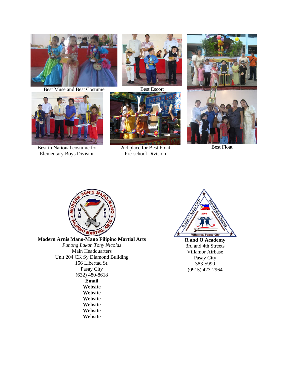

Best Muse and Best Costume Best Escort



Best in National costume for 2nd place for Best Float Best Float E lementary Boys Division Best in National costume for





Pr e-school Division





**Modern Arnis Mano-Mano Filipino Martial Arts** *Punong Lakan Tony Nicolas* Main Headquarters Unit 204 CK Sy Diamond Building 156 Libertad St. Pasay City (632) 480-8618 **[Email](mailto:filipinomartialarts@yahoo.com) [Website](http://www.kasama-stickfighter.org/)  [Website](http://mamfma.zoomshare.com/)  [Website](http://modernsinawali.zoomshare.com/)  [Website](http://wikimartialarts.org/main/index.php/Arnis)  [Website](http://wikimartialarts.org/main/index.php/Modern_Sinawali)  [Website](http://wikimartialarts.org/main/index.php/Sistemang_Pang-Oran)**



**R and O Academy** 3rd and 4th Streets Villamor Airbase Pasay City 383-5990 (0915) 423-2964